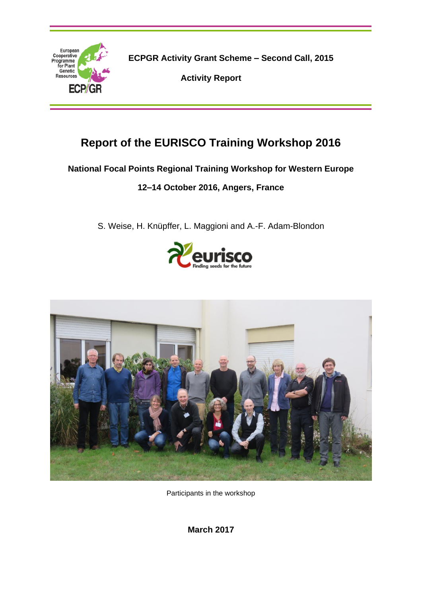

**ECPGR Activity Grant Scheme – Second Call, 2015**

**Activity Report**

# **Report of the EURISCO Training Workshop 2016**

## **National Focal Points Regional Training Workshop for Western Europe**

## **12–14 October 2016, Angers, France**

S. Weise, H. Knüpffer, L. Maggioni and A.-F. Adam-Blondon





Participants in the workshop

**March 2017**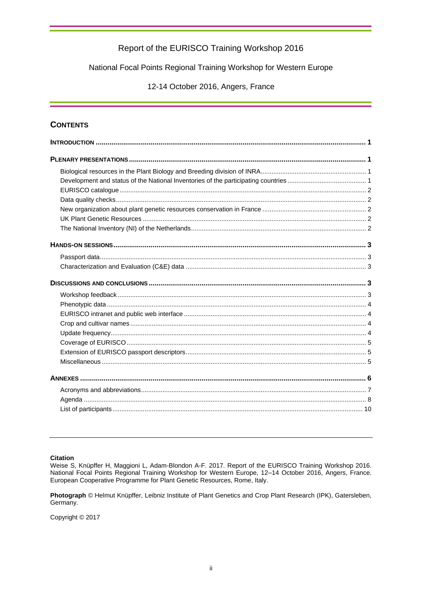#### National Focal Points Regional Training Workshop for Western Europe

12-14 October 2016, Angers, France

#### **CONTENTS**

#### **Citation**

Weise S, Knüpffer H, Maggioni L, Adam-Blondon A-F. 2017. Report of the EURISCO Training Workshop 2016.<br>National Focal Points Regional Training Workshop for Western Europe, 12–14 October 2016, Angers, France. European Cooperative Programme for Plant Genetic Resources, Rome, Italy.

Photograph © Helmut Knüpffer, Leibniz Institute of Plant Genetics and Crop Plant Research (IPK), Gatersleben, Germany.

Copyright © 2017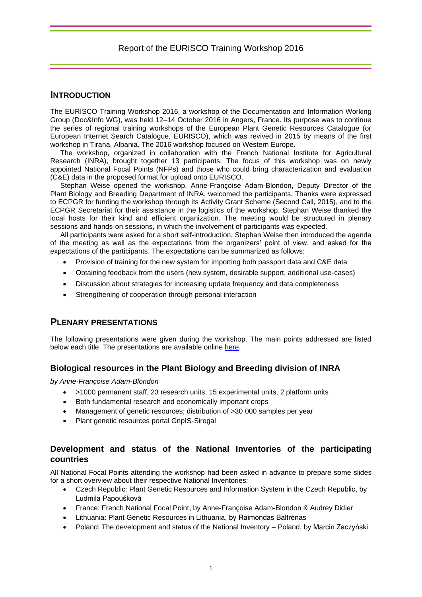### **INTRODUCTION**

The EURISCO Training Workshop 2016, a workshop of the Documentation and Information Working Group (Doc&Info WG), was held 12–14 October 2016 in Angers, France. Its purpose was to continue the series of regional training workshops of the European Plant Genetic Resources Catalogue (or European Internet Search Catalogue, EURISCO), which was revived in 2015 by means of the first workshop in Tirana, Albania. The 2016 workshop focused on Western Europe.

The workshop, organized in collaboration with the French National Institute for Agricultural Research (INRA), brought together 13 participants. The focus of this workshop was on newly appointed National Focal Points (NFPs) and those who could bring characterization and evaluation (C&E) data in the proposed format for upload onto EURISCO.

Stephan Weise opened the workshop. Anne-Françoise Adam-Blondon, Deputy Director of the Plant Biology and Breeding Department of INRA, welcomed the participants. Thanks were expressed to ECPGR for funding the workshop through its Activity Grant Scheme (Second Call, 2015), and to the ECPGR Secretariat for their assistance in the logistics of the workshop. Stephan Weise thanked the local hosts for their kind and efficient organization. The meeting would be structured in plenary sessions and hands-on sessions, in which the involvement of participants was expected.

All participants were asked for a short self-introduction. Stephan Weise then introduced the agenda of the meeting as well as the expectations from the organizers' point of view, and asked for the expectations of the participants. The expectations can be summarized as follows:

- Provision of training for the new system for importing both passport data and C&E data
- Obtaining feedback from the users (new system, desirable support, additional use-cases)
- Discussion about strategies for increasing update frequency and data completeness
- Strengthening of cooperation through personal interaction

## **PLENARY PRESENTATIONS**

The following presentations were given during the workshop. The main points addressed are listed below each title. The presentations are available online [here.](http://www.ecpgr.cgiar.org/working-groups/documentation-information/eurisco-training-workshop-2016/)

### **Biological resources in the Plant Biology and Breeding division of INRA**

*by Anne-Françoise Adam-Blondon*

- >1000 permanent staff, 23 research units, 15 experimental units, 2 platform units
- Both fundamental research and economically important crops
- Management of genetic resources; distribution of >30 000 samples per year
- Plant genetic resources portal GnpIS-Siregal

## **Development and status of the National Inventories of the participating countries**

All National Focal Points attending the workshop had been asked in advance to prepare some slides for a short overview about their respective National Inventories:

- Czech Republic: Plant Genetic Resources and Information System in the Czech Republic, by Ludmila Papoušková
- France: French National Focal Point, by Anne-Françoise Adam-Blondon & Audrey Didier
- Lithuania: Plant Genetic Resources in Lithuania, by Raimondas Baltrėnas
- Poland: The development and status of the National Inventory Poland, by Marcin Zaczyński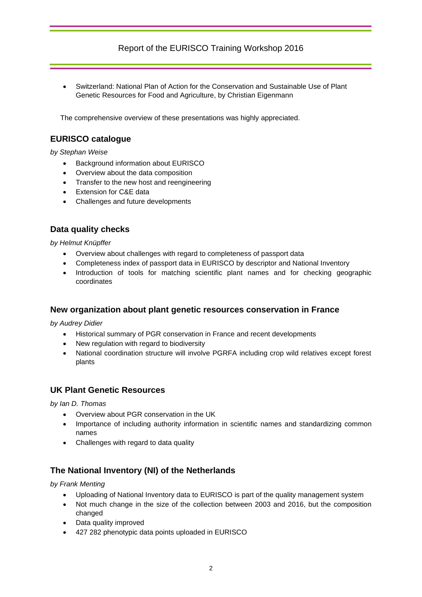Switzerland: National Plan of Action for the Conservation and Sustainable Use of Plant Genetic Resources for Food and Agriculture, by Christian Eigenmann

The comprehensive overview of these presentations was highly appreciated.

## **EURISCO catalogue**

*by Stephan Weise*

- Background information about EURISCO
- Overview about the data composition
- Transfer to the new host and reengineering
- Extension for C&E data
- Challenges and future developments

## **Data quality checks**

*by Helmut Knüpffer*

- Overview about challenges with regard to completeness of passport data
- Completeness index of passport data in EURISCO by descriptor and National Inventory
- Introduction of tools for matching scientific plant names and for checking geographic coordinates

### **New organization about plant genetic resources conservation in France**

*by Audrey Didier*

- Historical summary of PGR conservation in France and recent developments
- New regulation with regard to biodiversity
- National coordination structure will involve PGRFA including crop wild relatives except forest plants

### **UK Plant Genetic Resources**

*by Ian D. Thomas*

- Overview about PGR conservation in the UK
- Importance of including authority information in scientific names and standardizing common names
- Challenges with regard to data quality

## **The National Inventory (NI) of the Netherlands**

*by Frank Menting*

- Uploading of National Inventory data to EURISCO is part of the quality management system
- Not much change in the size of the collection between 2003 and 2016, but the composition changed
- Data quality improved
- 427 282 phenotypic data points uploaded in EURISCO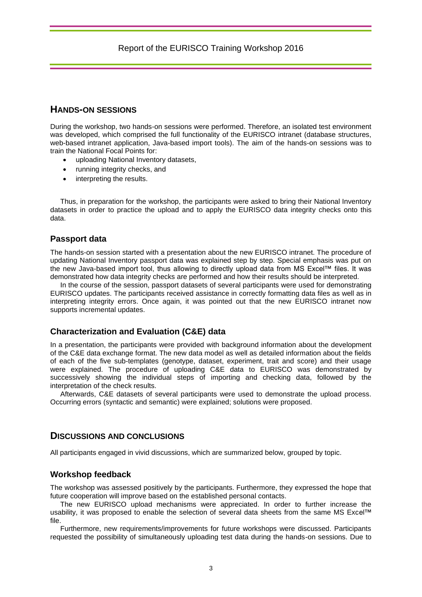## **HANDS-ON SESSIONS**

During the workshop, two hands-on sessions were performed. Therefore, an isolated test environment was developed, which comprised the full functionality of the EURISCO intranet (database structures, web-based intranet application, Java-based import tools). The aim of the hands-on sessions was to train the National Focal Points for:

- uploading National Inventory datasets,
- running integrity checks, and
- interpreting the results.

Thus, in preparation for the workshop, the participants were asked to bring their National Inventory datasets in order to practice the upload and to apply the EURISCO data integrity checks onto this data.

#### **Passport data**

The hands-on session started with a presentation about the new EURISCO intranet. The procedure of updating National Inventory passport data was explained step by step. Special emphasis was put on the new Java-based import tool, thus allowing to directly upload data from MS Excel™ files. It was demonstrated how data integrity checks are performed and how their results should be interpreted.

In the course of the session, passport datasets of several participants were used for demonstrating EURISCO updates. The participants received assistance in correctly formatting data files as well as in interpreting integrity errors. Once again, it was pointed out that the new EURISCO intranet now supports incremental updates.

### **Characterization and Evaluation (C&E) data**

In a presentation, the participants were provided with background information about the development of the C&E data exchange format. The new data model as well as detailed information about the fields of each of the five sub-templates (genotype, dataset, experiment, trait and score) and their usage were explained. The procedure of uploading C&E data to EURISCO was demonstrated by successively showing the individual steps of importing and checking data, followed by the interpretation of the check results.

Afterwards, C&E datasets of several participants were used to demonstrate the upload process. Occurring errors (syntactic and semantic) were explained; solutions were proposed.

### **DISCUSSIONS AND CONCLUSIONS**

All participants engaged in vivid discussions, which are summarized below, grouped by topic.

### **Workshop feedback**

The workshop was assessed positively by the participants. Furthermore, they expressed the hope that future cooperation will improve based on the established personal contacts.

The new EURISCO upload mechanisms were appreciated. In order to further increase the usability, it was proposed to enable the selection of several data sheets from the same MS Excel™ file.

Furthermore, new requirements/improvements for future workshops were discussed. Participants requested the possibility of simultaneously uploading test data during the hands-on sessions. Due to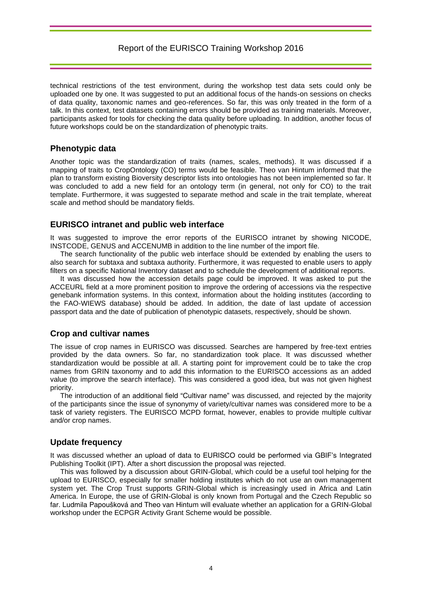technical restrictions of the test environment, during the workshop test data sets could only be uploaded one by one. It was suggested to put an additional focus of the hands-on sessions on checks of data quality, taxonomic names and geo-references. So far, this was only treated in the form of a talk. In this context, test datasets containing errors should be provided as training materials. Moreover, participants asked for tools for checking the data quality before uploading. In addition, another focus of future workshops could be on the standardization of phenotypic traits.

## **Phenotypic data**

Another topic was the standardization of traits (names, scales, methods). It was discussed if a mapping of traits to CropOntology (CO) terms would be feasible. Theo van Hintum informed that the plan to transform existing Bioversity descriptor lists into ontologies has not been implemented so far. It was concluded to add a new field for an ontology term (in general, not only for CO) to the trait template. Furthermore, it was suggested to separate method and scale in the trait template, whereat scale and method should be mandatory fields.

### **EURISCO intranet and public web interface**

It was suggested to improve the error reports of the EURISCO intranet by showing NICODE, INSTCODE, GENUS and ACCENUMB in addition to the line number of the import file.

The search functionality of the public web interface should be extended by enabling the users to also search for subtaxa and subtaxa authority. Furthermore, it was requested to enable users to apply filters on a specific National Inventory dataset and to schedule the development of additional reports.

It was discussed how the accession details page could be improved. It was asked to put the ACCEURL field at a more prominent position to improve the ordering of accessions via the respective genebank information systems. In this context, information about the holding institutes (according to the FAO-WIEWS database) should be added. In addition, the date of last update of accession passport data and the date of publication of phenotypic datasets, respectively, should be shown.

## **Crop and cultivar names**

The issue of crop names in EURISCO was discussed. Searches are hampered by free-text entries provided by the data owners. So far, no standardization took place. It was discussed whether standardization would be possible at all. A starting point for improvement could be to take the crop names from GRIN taxonomy and to add this information to the EURISCO accessions as an added value (to improve the search interface). This was considered a good idea, but was not given highest priority.

The introduction of an additional field "Cultivar name" was discussed, and rejected by the majority of the participants since the issue of synonymy of variety/cultivar names was considered more to be a task of variety registers. The EURISCO MCPD format, however, enables to provide multiple cultivar and/or crop names.

### **Update frequency**

It was discussed whether an upload of data to EURISCO could be performed via GBIF's Integrated Publishing Toolkit (IPT). After a short discussion the proposal was rejected.

This was followed by a discussion about GRIN-Global, which could be a useful tool helping for the upload to EURISCO, especially for smaller holding institutes which do not use an own management system yet. The Crop Trust supports GRIN-Global which is increasingly used in Africa and Latin America. In Europe, the use of GRIN-Global is only known from Portugal and the Czech Republic so far. Ludmila Papoušková and Theo van Hintum will evaluate whether an application for a GRIN-Global workshop under the ECPGR Activity Grant Scheme would be possible.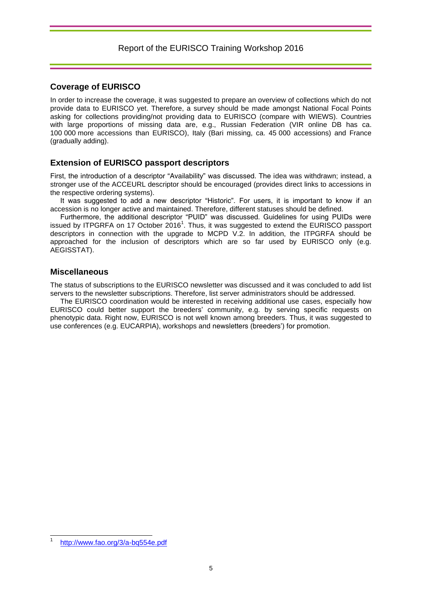## **Coverage of EURISCO**

In order to increase the coverage, it was suggested to prepare an overview of collections which do not provide data to EURISCO yet. Therefore, a survey should be made amongst National Focal Points asking for collections providing/not providing data to EURISCO (compare with WIEWS). Countries with large proportions of missing data are, e.g., Russian Federation (VIR online DB has ca. 100 000 more accessions than EURISCO), Italy (Bari missing, ca. 45 000 accessions) and France (gradually adding).

### **Extension of EURISCO passport descriptors**

First, the introduction of a descriptor "Availability" was discussed. The idea was withdrawn; instead, a stronger use of the ACCEURL descriptor should be encouraged (provides direct links to accessions in the respective ordering systems).

It was suggested to add a new descriptor "Historic". For users, it is important to know if an accession is no longer active and maintained. Therefore, different statuses should be defined.

Furthermore, the additional descriptor "PUID" was discussed. Guidelines for using PUIDs were issued by ITPGRFA on 17 October 2016<sup>1</sup>. Thus, it was suggested to extend the EURISCO passport descriptors in connection with the upgrade to MCPD V.2. In addition, the ITPGRFA should be approached for the inclusion of descriptors which are so far used by EURISCO only (e.g. AEGISSTAT).

### **Miscellaneous**

The status of subscriptions to the EURISCO newsletter was discussed and it was concluded to add list servers to the newsletter subscriptions. Therefore, list server administrators should be addressed.

The EURISCO coordination would be interested in receiving additional use cases, especially how EURISCO could better support the breeders' community, e.g. by serving specific requests on phenotypic data. Right now, EURISCO is not well known among breeders. Thus, it was suggested to use conferences (e.g. EUCARPIA), workshops and newsletters (breeders') for promotion.

 $\overline{a}$ 

<sup>1</sup> <http://www.fao.org/3/a-bq554e.pdf>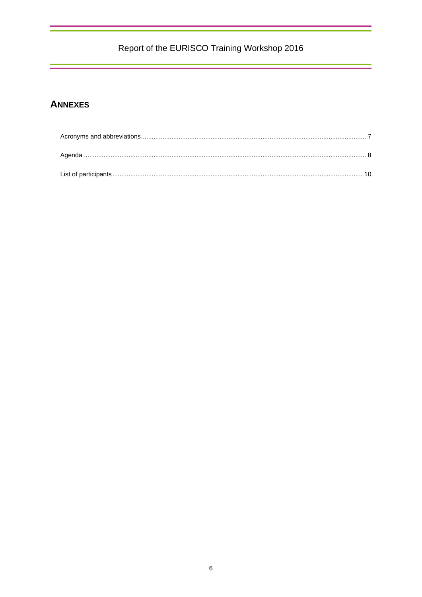## **ANNEXES**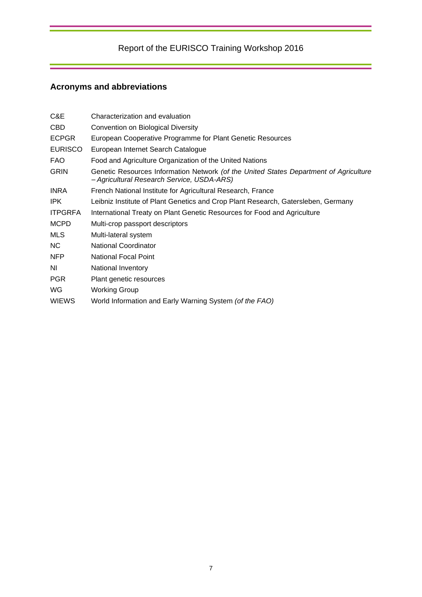# <span id="page-8-0"></span>**Acronyms and abbreviations**

| Characterization and evaluation                                                                                                     |
|-------------------------------------------------------------------------------------------------------------------------------------|
| Convention on Biological Diversity                                                                                                  |
| European Cooperative Programme for Plant Genetic Resources                                                                          |
| European Internet Search Catalogue                                                                                                  |
| Food and Agriculture Organization of the United Nations                                                                             |
| Genetic Resources Information Network (of the United States Department of Agriculture<br>- Agricultural Research Service, USDA-ARS) |
| French National Institute for Agricultural Research, France                                                                         |
| Leibniz Institute of Plant Genetics and Crop Plant Research, Gatersleben, Germany                                                   |
| International Treaty on Plant Genetic Resources for Food and Agriculture                                                            |
| Multi-crop passport descriptors                                                                                                     |
| Multi-lateral system                                                                                                                |
| <b>National Coordinator</b>                                                                                                         |
| <b>National Focal Point</b>                                                                                                         |
| National Inventory                                                                                                                  |
| Plant genetic resources                                                                                                             |
| <b>Working Group</b>                                                                                                                |
| World Information and Early Warning System (of the FAO)                                                                             |
|                                                                                                                                     |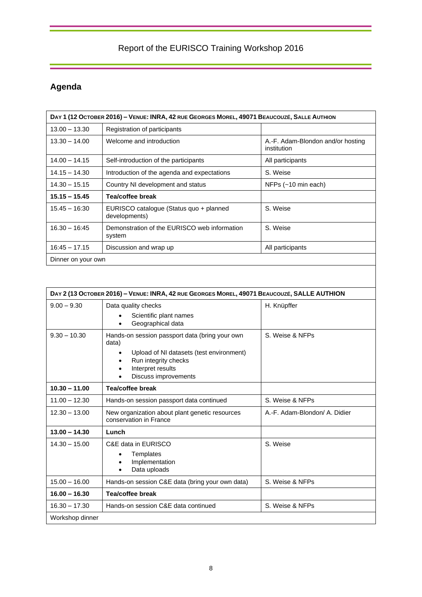# <span id="page-9-0"></span>**Agenda**

| DAY 1 (12 OCTOBER 2016) - VENUE: INRA, 42 RUE GEORGES MOREL, 49071 BEAUCOUZÉ, SALLE AUTHION |                                                          |                                                  |  |  |
|---------------------------------------------------------------------------------------------|----------------------------------------------------------|--------------------------------------------------|--|--|
| $13.00 - 13.30$                                                                             | Registration of participants                             |                                                  |  |  |
| $13.30 - 14.00$                                                                             | Welcome and introduction                                 | A.-F. Adam-Blondon and/or hosting<br>institution |  |  |
| $14.00 - 14.15$                                                                             | Self-introduction of the participants                    | All participants                                 |  |  |
| $14.15 - 14.30$                                                                             | Introduction of the agenda and expectations              | S. Weise                                         |  |  |
| $14.30 - 15.15$                                                                             | Country NI development and status                        | NFPs $(-10 \text{ min each})$                    |  |  |
| $15.15 - 15.45$                                                                             | Tea/coffee break                                         |                                                  |  |  |
| $15.45 - 16:30$                                                                             | EURISCO catalogue (Status quo + planned<br>developments) | S. Weise                                         |  |  |
| $16.30 - 16:45$                                                                             | Demonstration of the EURISCO web information<br>system   | S. Weise                                         |  |  |
| $16:45 - 17.15$                                                                             | Discussion and wrap up                                   | All participants                                 |  |  |
| Dinner on your own                                                                          |                                                          |                                                  |  |  |

| DAY 2 (13 OCTOBER 2016) - VENUE: INRA, 42 RUE GEORGES MOREL, 49071 BEAUCOUZÉ, SALLE AUTHION |                                                                                                                                                                                                    |                               |  |
|---------------------------------------------------------------------------------------------|----------------------------------------------------------------------------------------------------------------------------------------------------------------------------------------------------|-------------------------------|--|
| $9.00 - 9.30$                                                                               | Data quality checks<br>Scientific plant names<br>Geographical data<br>$\bullet$                                                                                                                    | H. Knüpffer                   |  |
| $9.30 - 10.30$                                                                              | Hands-on session passport data (bring your own<br>data)<br>Upload of NI datasets (test environment)<br>$\bullet$<br>Run integrity checks<br>$\bullet$<br>Interpret results<br>Discuss improvements | S. Weise & NFPs               |  |
| $10.30 - 11.00$                                                                             | Tea/coffee break                                                                                                                                                                                   |                               |  |
| $11.00 - 12.30$                                                                             | Hands-on session passport data continued                                                                                                                                                           | S. Weise & NFPs               |  |
| $12.30 - 13.00$                                                                             | New organization about plant genetic resources<br>conservation in France                                                                                                                           | A.-F. Adam-Blondon/ A. Didier |  |
| $13.00 - 14.30$                                                                             | Lunch                                                                                                                                                                                              |                               |  |
| $14.30 - 15.00$                                                                             | C&E data in EURISCO<br>Templates<br>Implementation<br>Data uploads<br>$\bullet$                                                                                                                    | S. Weise                      |  |
| $15.00 - 16.00$                                                                             | Hands-on session C&E data (bring your own data)                                                                                                                                                    | S. Weise & NFPs               |  |
| $16.00 - 16.30$                                                                             | Tea/coffee break                                                                                                                                                                                   |                               |  |
| $16.30 - 17.30$                                                                             | Hands-on session C&E data continued                                                                                                                                                                | S. Weise & NFPs               |  |
| Workshop dinner                                                                             |                                                                                                                                                                                                    |                               |  |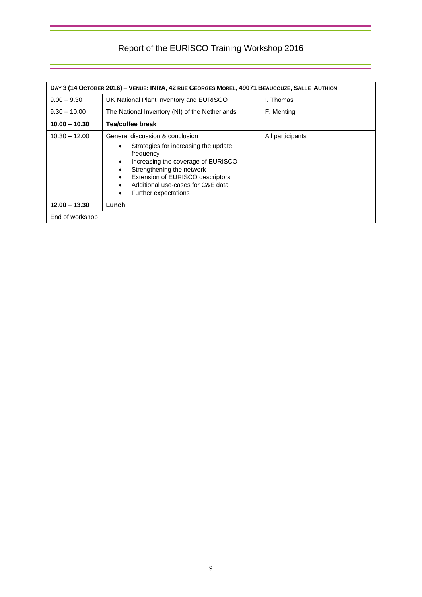| DAY 3 (14 OCTOBER 2016) - VENUE: INRA, 42 RUE GEORGES MOREL, 49071 BEAUCOUZÉ, SALLE AUTHION |                                                                                                                                                                                                                                                                                    |                  |  |  |
|---------------------------------------------------------------------------------------------|------------------------------------------------------------------------------------------------------------------------------------------------------------------------------------------------------------------------------------------------------------------------------------|------------------|--|--|
| $9.00 - 9.30$                                                                               | UK National Plant Inventory and EURISCO                                                                                                                                                                                                                                            | I. Thomas        |  |  |
| $9.30 - 10.00$                                                                              | The National Inventory (NI) of the Netherlands                                                                                                                                                                                                                                     | F. Menting       |  |  |
| $10.00 - 10.30$                                                                             | Tea/coffee break                                                                                                                                                                                                                                                                   |                  |  |  |
| $10.30 - 12.00$                                                                             | General discussion & conclusion<br>Strategies for increasing the update<br>$\bullet$<br>frequency<br>Increasing the coverage of EURISCO<br>$\bullet$<br>Strengthening the network<br>Extension of EURISCO descriptors<br>Additional use-cases for C&E data<br>Further expectations | All participants |  |  |
| $12.00 - 13.30$                                                                             | Lunch                                                                                                                                                                                                                                                                              |                  |  |  |
| End of workshop                                                                             |                                                                                                                                                                                                                                                                                    |                  |  |  |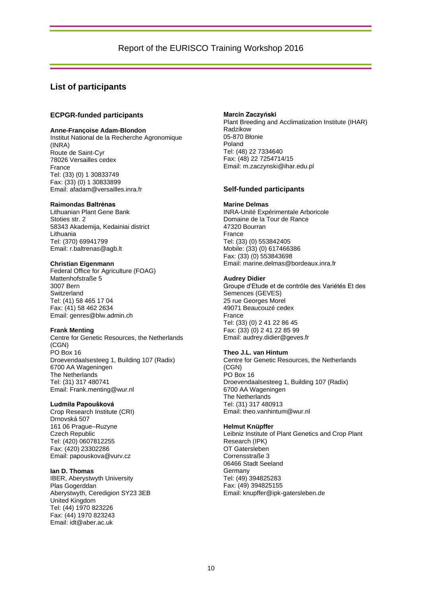### <span id="page-11-0"></span>**List of participants**

#### **ECPGR-funded participants**

#### **Anne-Françoise Adam-Blondon**

Institut National de la Recherche Agronomique (INRA) Route de Saint-Cyr 78026 Versailles cedex France Tel: (33) (0) 1 30833749 Fax: (33) (0) 1 30833899 Email: afadam@versailles.inra.fr

#### **Raimondas Baltrėnas**

Lithuanian Plant Gene Bank Stoties str. 2 58343 Akademija, Kedainiai district Lithuania Tel: (370) 69941799 Email: r.baltrenas@agb.lt

#### **Christian Eigenmann**

Federal Office for Agriculture (FOAG) Mattenhofstraße 5 3007 Bern Switzerland Tel: (41) 58 465 17 04 Fax: (41) 58 462 2634 Email: genres@blw.admin.ch

#### **Frank Menting**

Centre for Genetic Resources, the Netherlands (CGN) PO Box 16 Droevendaalsesteeg 1, Building 107 (Radix) 6700 AA Wageningen The Netherlands Tel: (31) 317 480741 Email: Frank.menting@wur.nl

#### **Ludmila Papoušková**

Crop Research Institute (CRI) Drnovská 507 161 06 Prague–Ruzyne Czech Republic Tel: (420) 0607812255 Fax: (420) 23302286 Email: papouskova@vurv.cz

#### **Ian D. Thomas**

IBER, Aberystwyth University Plas Gogerddan Aberystwyth, Ceredigion SY23 3EB United Kingdom Tel: (44) 1970 823226 Fax: (44) 1970 823243 Email: idt@aber.ac.uk

#### **Marcin Zaczyński**

Plant Breeding and Acclimatization Institute (IHAR) Radzikow 05-870 Błonie Poland Tel: (48) 22 7334640 Fax: (48) 22 7254714/15 Email: m.zaczynski@ihar.edu.pl

#### **Self-funded participants**

#### **Marine Delmas**

INRA-Unité Expérimentale Arboricole Domaine de la Tour de Rance 47320 Bourran France Tel: (33) (0) 553842405 Mobile: (33) (0) 617466386 Fax: (33) (0) 553843698 Email: marine.delmas@bordeaux.inra.fr

#### **Audrey Didier**

Groupe d'Etude et de contrôle des Variétés Et des Semences (GEVES) 25 rue Georges Morel 49071 Beaucouzé cedex France Tel: (33) (0) 2 41 22 86 45 Fax: (33) (0) 2 41 22 85 99 Email: audrey.didier@geves.fr

#### **Theo J.L. van Hintum**

Centre for Genetic Resources, the Netherlands (CGN) PO Box 16 Droevendaalsesteeg 1, Building 107 (Radix) 6700 AA Wageningen The Netherlands Tel: (31) 317 480913 Email: theo.vanhintum@wur.nl

#### **Helmut Knüpffer**

Leibniz Institute of Plant Genetics and Crop Plant Research (IPK) OT Gatersleben Corrensstraße 3 06466 Stadt Seeland Germany Tel: (49) 394825283 Fax: (49) 394825155 Email: knupffer@ipk-gatersleben.de